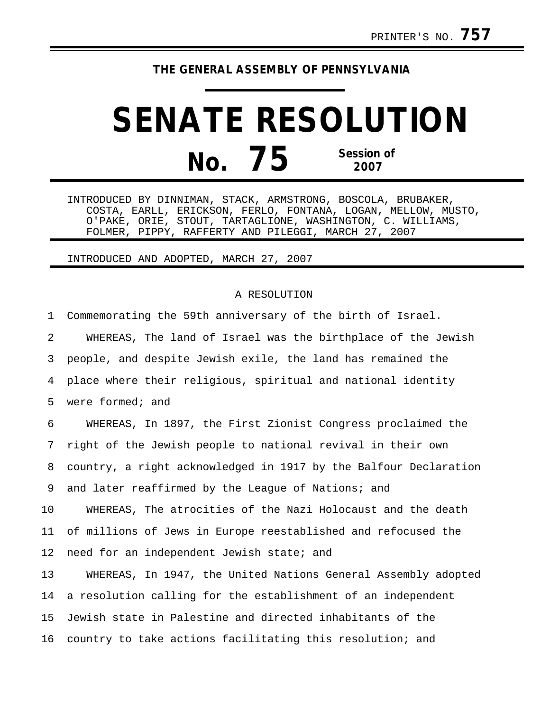## **THE GENERAL ASSEMBLY OF PENNSYLVANIA**

## **SENATE RESOLUTION No. 75 Session of 2007**

INTRODUCED BY DINNIMAN, STACK, ARMSTRONG, BOSCOLA, BRUBAKER, COSTA, EARLL, ERICKSON, FERLO, FONTANA, LOGAN, MELLOW, MUSTO, O'PAKE, ORIE, STOUT, TARTAGLIONE, WASHINGTON, C. WILLIAMS, FOLMER, PIPPY, RAFFERTY AND PILEGGI, MARCH 27, 2007

## INTRODUCED AND ADOPTED, MARCH 27, 2007

## A RESOLUTION

1 Commemorating the 59th anniversary of the birth of Israel. 2 WHEREAS, The land of Israel was the birthplace of the Jewish 3 people, and despite Jewish exile, the land has remained the 4 place where their religious, spiritual and national identity 5 were formed; and 6 WHEREAS, In 1897, the First Zionist Congress proclaimed the 7 right of the Jewish people to national revival in their own 8 country, a right acknowledged in 1917 by the Balfour Declaration 9 and later reaffirmed by the League of Nations; and 10 WHEREAS, The atrocities of the Nazi Holocaust and the death 11 of millions of Jews in Europe reestablished and refocused the 12 need for an independent Jewish state; and 13 WHEREAS, In 1947, the United Nations General Assembly adopted 14 a resolution calling for the establishment of an independent 15 Jewish state in Palestine and directed inhabitants of the 16 country to take actions facilitating this resolution; and